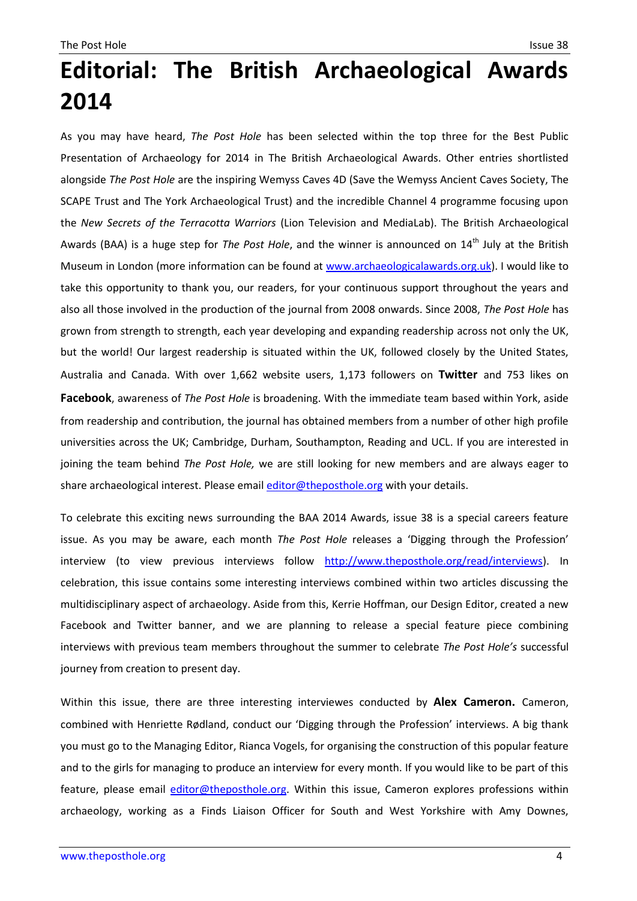## **Editorial: The British Archaeological Awards 2014**

As you may have heard, *The Post Hole* has been selected within the top three for the Best Public Presentation of Archaeology for 2014 in The British Archaeological Awards. Other entries shortlisted alongside *The Post Hole* are the inspiring Wemyss Caves 4D (Save the Wemyss Ancient Caves Society, The SCAPE Trust and The York Archaeological Trust) and the incredible Channel 4 programme focusing upon the *New Secrets of the Terracotta Warriors* (Lion Television and MediaLab). The British Archaeological Awards (BAA) is a huge step for *The Post Hole*, and the winner is announced on 14<sup>th</sup> July at the British Museum in London (more information can be found at [www.archaeologicalawards.org.uk\)](http://www.archaeologicalawards.org.uk/). I would like to take this opportunity to thank you, our readers, for your continuous support throughout the years and also all those involved in the production of the journal from 2008 onwards. Since 2008, *The Post Hole* has grown from strength to strength, each year developing and expanding readership across not only the UK, but the world! Our largest readership is situated within the UK, followed closely by the United States, Australia and Canada. With over 1,662 website users, 1,173 followers on **Twitter** and 753 likes on **Facebook**, awareness of *The Post Hole* is broadening. With the immediate team based within York, aside from readership and contribution, the journal has obtained members from a number of other high profile universities across the UK; Cambridge, Durham, Southampton, Reading and UCL. If you are interested in joining the team behind *The Post Hole,* we are still looking for new members and are always eager to share archaeological interest. Please email [editor@theposthole.org](mailto:editor@theposthole.org) with your details.

To celebrate this exciting news surrounding the BAA 2014 Awards, issue 38 is a special careers feature issue. As you may be aware, each month *The Post Hole* releases a 'Digging through the Profession' interview (to view previous interviews follow [http://www.theposthole.org/read/interviews\)](http://www.theposthole.org/read/interviews). In celebration, this issue contains some interesting interviews combined within two articles discussing the multidisciplinary aspect of archaeology. Aside from this, Kerrie Hoffman, our Design Editor, created a new Facebook and Twitter banner, and we are planning to release a special feature piece combining interviews with previous team members throughout the summer to celebrate *The Post Hole's* successful journey from creation to present day.

Within this issue, there are three interesting interviewes conducted by **Alex Cameron.** Cameron, combined with Henriette Rødland, conduct our 'Digging through the Profession' interviews. A big thank you must go to the Managing Editor, Rianca Vogels, for organising the construction of this popular feature and to the girls for managing to produce an interview for every month. If you would like to be part of this feature, please email [editor@theposthole.org.](mailto:editor@theposthole.org) Within this issue, Cameron explores professions within archaeology, working as a Finds Liaison Officer for South and West Yorkshire with Amy Downes,